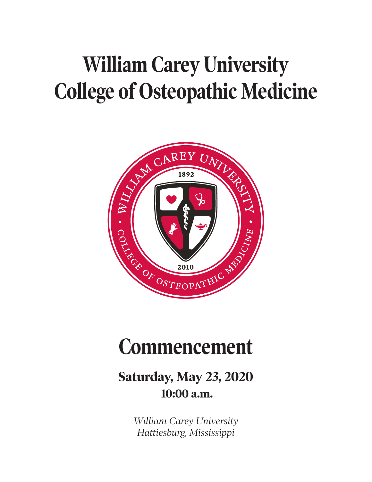# **William Carey University College of Osteopathic Medicine**



## **Commencement**

## **Saturday, May 23, 2020 10:00 a.m.**

*William Carey University Hattiesburg, Mississippi*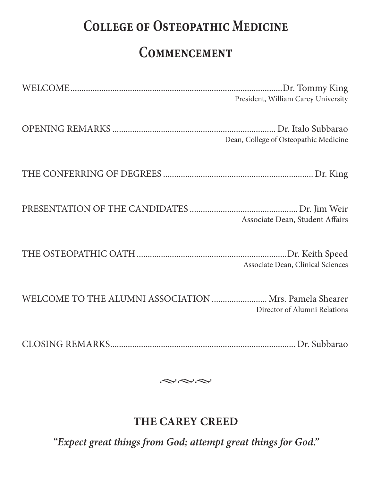## **College of Osteopathic Medicine**

## **Commencement**

|                                                        | President, William Carey University   |
|--------------------------------------------------------|---------------------------------------|
|                                                        | Dean, College of Osteopathic Medicine |
|                                                        |                                       |
|                                                        | Associate Dean, Student Affairs       |
|                                                        | Associate Dean, Clinical Sciences     |
| WELCOME TO THE ALUMNI ASSOCIATION  Mrs. Pamela Shearer | Director of Alumni Relations          |

CLOSING REMARKS.................................................................................... Dr. Subbarao

 $\sim\sim\sim$ 

#### **THE CAREY CREED**

*"Expect great things from God; attempt great things for God."*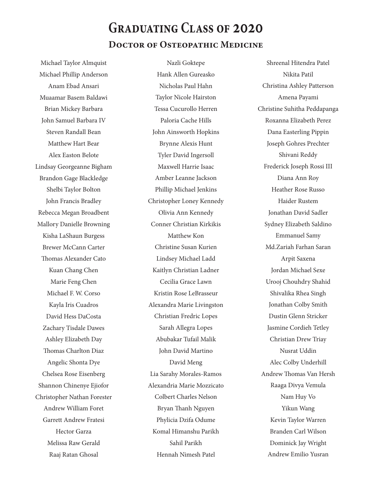### **Graduating Class of 2020 Doctor of Osteopathic Medicine**

Michael Taylor Almquist Michael Phillip Anderson Anam Ebad Ansari Muaamar Basem Baldawi Brian Mickey Barbara John Samuel Barbara IV Steven Randall Bean Matthew Hart Bear Alex Easton Belote Lindsay Georgeanne Bigham Brandon Gage Blackledge Shelbi Taylor Bolton John Francis Bradley Rebecca Megan Broadbent Mallory Danielle Browning Kisha LaShaun Burgess Brewer McCann Carter Thomas Alexander Cato Kuan Chang Chen Marie Feng Chen Michael F. W. Corso Kayla Iris Cuadros David Hess DaCosta Zachary Tisdale Dawes Ashley Elizabeth Day Thomas Charlton Diaz Angelic Shonta Dye Chelsea Rose Eisenberg Shannon Chinenye Ejiofor Christopher Nathan Forester Andrew William Foret Garrett Andrew Fratesi Hector Garza Melissa Raw Gerald Raaj Ratan Ghosal

Nazli Goktepe Hank Allen Gureasko Nicholas Paul Hahn Taylor Nicole Hairston Tessa Cucurollo Herren Paloria Cache Hills John Ainsworth Hopkins Brynne Alexis Hunt Tyler David Ingersoll Maxwell Harrie Isaac Amber Leanne Jackson Phillip Michael Jenkins Christopher Loney Kennedy Olivia Ann Kennedy Conner Christian Kirkikis Matthew Kon Christine Susan Kurien Lindsey Michael Ladd Kaitlyn Christian Ladner Cecilia Grace Lawn Kristin Rose LeBrasseur Alexandra Marie Livingston Christian Fredric Lopes Sarah Allegra Lopes Abubakar Tufail Malik John David Martino David Meng Lia Sarahy Morales‑Ramos Alexandria Marie Mozzicato Colbert Charles Nelson Bryan Thanh Nguyen Phylicia Dzifa Odume Komal Himanshu Parikh Sahil Parikh Hennah Nimesh Patel

Shreenal Hitendra Patel Nikita Patil Christina Ashley Patterson Amena Payami Christine Suhitha Peddapanga Roxanna Elizabeth Perez Dana Easterling Pippin Joseph Gohres Prechter Shivani Reddy Frederick Joseph Rossi III Diana Ann Roy Heather Rose Russo Haider Rustem Jonathan David Sadler Sydney Elizabeth Saldino Emmanuel Samy Md.Zariah Farhan Saran Arpit Saxena Jordan Michael Sexe Urooj Chouhdry Shahid Shivalika Rhea Singh Jonathan Colby Smith Dustin Glenn Stricker Jasmine Cordieh Tetley Christian Drew Triay Nusrat Uddin Alec Colby Underhill Andrew Thomas Van Hersh Raaga Divya Vemula Nam Huy Vo Yikun Wang Kevin Taylor Warren Branden Carl Wilson Dominick Jay Wright Andrew Emilio Yusran